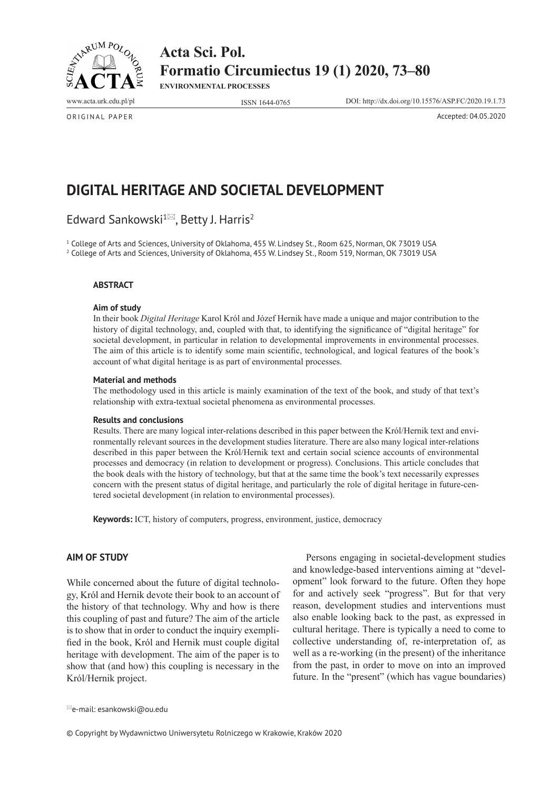

**ENVIRONMENTAL PROCESSES**

www.acta.urk.edu.pl/pl ISSN 1644-0765 DOI: http://dx.doi.org/10.15576/ASP.FC/2020.19.1.73

ORIGINAL PAPER Accepted: 04.05.2020

# **DIGITAL HERITAGE AND SOCIETAL DEVELOPMENT**

Edward Sankowski<sup>1 $\approx$ </sup>, Betty J. Harris<sup>2</sup>

<sup>1</sup> College of Arts and Sciences, University of Oklahoma, 455 W. Lindsey St., Room 625, Norman, OK 73019 USA 2 College of Arts and Sciences, University of Oklahoma, 455 W. Lindsey St., Room 519, Norman, OK 73019 USA

#### **ABSTRACT**

#### **Aim of study**

In their book *Digital Heritage* Karol Król and Józef Hernik have made a unique and major contribution to the history of digital technology, and, coupled with that, to identifying the significance of "digital heritage" for societal development, in particular in relation to developmental improvements in environmental processes. The aim of this article is to identify some main scientific, technological, and logical features of the book's account of what digital heritage is as part of environmental processes.

#### **Material and methods**

The methodology used in this article is mainly examination of the text of the book, and study of that text's relationship with extra-textual societal phenomena as environmental processes.

#### **Results and conclusions**

Results. There are many logical inter-relations described in this paper between the Król/Hernik text and environmentally relevant sources in the development studies literature. There are also many logical inter-relations described in this paper between the Król/Hernik text and certain social science accounts of environmental processes and democracy (in relation to development or progress). Conclusions. This article concludes that the book deals with the history of technology, but that at the same time the book's text necessarily expresses concern with the present status of digital heritage, and particularly the role of digital heritage in future-centered societal development (in relation to environmental processes).

**Keywords:** ICT, history of computers, progress, environment, justice, democracy

## **AIM OF STUDY**

While concerned about the future of digital technology, Król and Hernik devote their book to an account of the history of that technology. Why and how is there this coupling of past and future? The aim of the article is to show that in order to conduct the inquiry exemplified in the book, Król and Hernik must couple digital heritage with development. The aim of the paper is to show that (and how) this coupling is necessary in the Król/Hernik project.

Persons engaging in societal-development studies and knowledge-based interventions aiming at "development" look forward to the future. Often they hope for and actively seek "progress". But for that very reason, development studies and interventions must also enable looking back to the past, as expressed in cultural heritage. There is typically a need to come to collective understanding of, re-interpretation of, as well as a re-working (in the present) of the inheritance from the past, in order to move on into an improved future. In the "present" (which has vague boundaries)

e-mail: esankowski@ou.edu

© Copyright by Wydawnictwo Uniwersytetu Rolniczego w Krakowie, Kraków 2020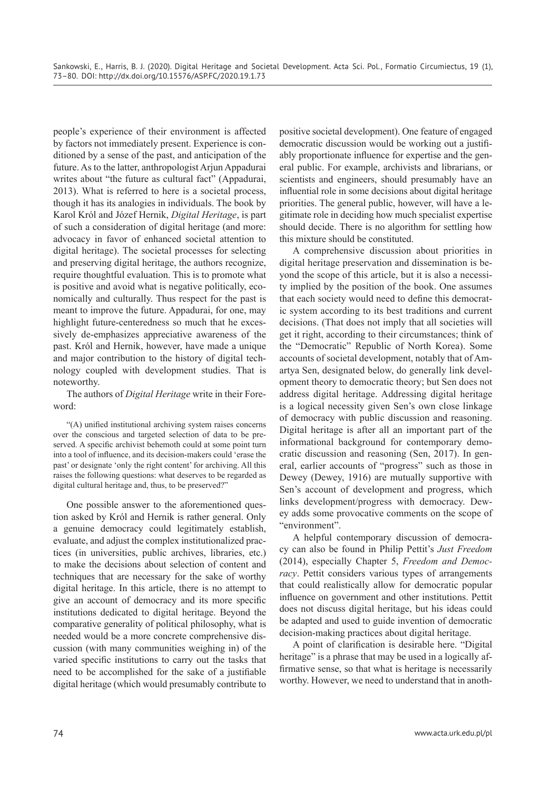people's experience of their environment is affected by factors not immediately present. Experience is conditioned by a sense of the past, and anticipation of the future. As to the latter, anthropologist Arjun Appadurai writes about "the future as cultural fact" (Appadurai, 2013). What is referred to here is a societal process, though it has its analogies in individuals. The book by Karol Król and Józef Hernik, *Digital Heritage*, is part of such a consideration of digital heritage (and more: advocacy in favor of enhanced societal attention to digital heritage). The societal processes for selecting and preserving digital heritage, the authors recognize, require thoughtful evaluation. This is to promote what is positive and avoid what is negative politically, economically and culturally. Thus respect for the past is meant to improve the future. Appadurai, for one, may highlight future-centeredness so much that he excessively de-emphasizes appreciative awareness of the past. Król and Hernik, however, have made a unique and major contribution to the history of digital technology coupled with development studies. That is noteworthy.

# The authors of *Digital Heritage* write in their Foreword:

"(A) unified institutional archiving system raises concerns over the conscious and targeted selection of data to be preserved. A specific archivist behemoth could at some point turn into a tool of influence, and its decision-makers could 'erase the past' or designate 'only the right content' for archiving. All this raises the following questions: what deserves to be regarded as digital cultural heritage and, thus, to be preserved?"

One possible answer to the aforementioned question asked by Król and Hernik is rather general. Only a genuine democracy could legitimately establish, evaluate, and adjust the complex institutionalized practices (in universities, public archives, libraries, etc.) to make the decisions about selection of content and techniques that are necessary for the sake of worthy digital heritage. In this article, there is no attempt to give an account of democracy and its more specific institutions dedicated to digital heritage. Beyond the comparative generality of political philosophy, what is needed would be a more concrete comprehensive discussion (with many communities weighing in) of the varied specific institutions to carry out the tasks that need to be accomplished for the sake of a justifiable digital heritage (which would presumably contribute to

positive societal development). One feature of engaged democratic discussion would be working out a justifiably proportionate influence for expertise and the general public. For example, archivists and librarians, or scientists and engineers, should presumably have an influential role in some decisions about digital heritage priorities. The general public, however, will have a legitimate role in deciding how much specialist expertise should decide. There is no algorithm for settling how this mixture should be constituted.

A comprehensive discussion about priorities in digital heritage preservation and dissemination is beyond the scope of this article, but it is also a necessity implied by the position of the book. One assumes that each society would need to define this democratic system according to its best traditions and current decisions. (That does not imply that all societies will get it right, according to their circumstances; think of the "Democratic" Republic of North Korea). Some accounts of societal development, notably that of Amartya Sen, designated below, do generally link development theory to democratic theory; but Sen does not address digital heritage. Addressing digital heritage is a logical necessity given Sen's own close linkage of democracy with public discussion and reasoning. Digital heritage is after all an important part of the informational background for contemporary democratic discussion and reasoning (Sen, 2017). In general, earlier accounts of "progress" such as those in Dewey (Dewey, 1916) are mutually supportive with Sen's account of development and progress, which links development/progress with democracy. Dewey adds some provocative comments on the scope of "environment".

A helpful contemporary discussion of democracy can also be found in Philip Pettit's *Just Freedom* (2014), especially Chapter 5, *Freedom and Democracy*. Pettit considers various types of arrangements that could realistically allow for democratic popular influence on government and other institutions. Pettit does not discuss digital heritage, but his ideas could be adapted and used to guide invention of democratic decision-making practices about digital heritage.

A point of clarification is desirable here. "Digital heritage" is a phrase that may be used in a logically affirmative sense, so that what is heritage is necessarily worthy. However, we need to understand that in anoth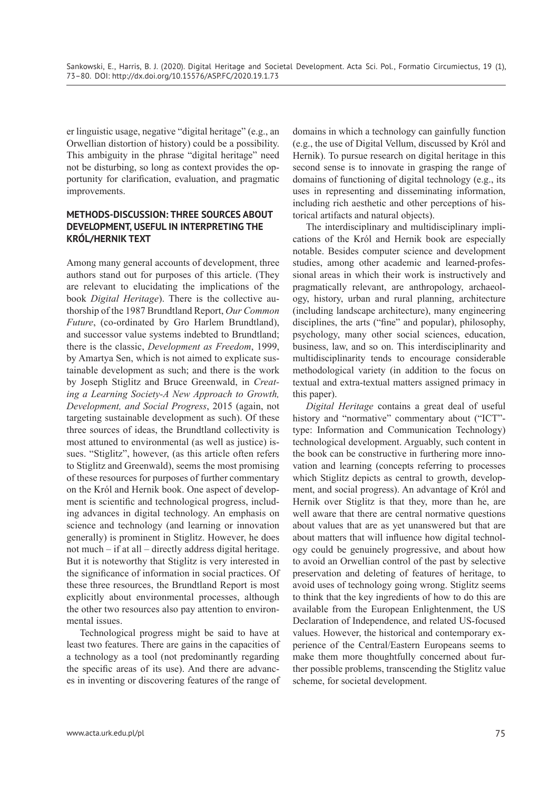er linguistic usage, negative "digital heritage" (e.g., an Orwellian distortion of history) could be a possibility. This ambiguity in the phrase "digital heritage" need not be disturbing, so long as context provides the opportunity for clarification, evaluation, and pragmatic improvements.

# **METHODS-DISCUSSION: THREE SOURCES ABOUT DEVELOPMENT, USEFUL IN INTERPRETING THE KRÓL/HERNIK TEXT**

Among many general accounts of development, three authors stand out for purposes of this article. (They are relevant to elucidating the implications of the book *Digital Heritage*). There is the collective authorship of the 1987 Brundtland Report, *Our Common Future*, (co-ordinated by Gro Harlem Brundtland), and successor value systems indebted to Brundtland; there is the classic, *Development as Freedom*, 1999, by Amartya Sen, which is not aimed to explicate sustainable development as such; and there is the work by Joseph Stiglitz and Bruce Greenwald, in *Creating a Learning Society-A New Approach to Growth, Development, and Social Progress*, 2015 (again, not targeting sustainable development as such). Of these three sources of ideas, the Brundtland collectivity is most attuned to environmental (as well as justice) issues. "Stiglitz", however, (as this article often refers to Stiglitz and Greenwald), seems the most promising of these resources for purposes of further commentary on the Król and Hernik book. One aspect of development is scientific and technological progress, including advances in digital technology. An emphasis on science and technology (and learning or innovation generally) is prominent in Stiglitz. However, he does not much – if at all – directly address digital heritage. But it is noteworthy that Stiglitz is very interested in the significance of information in social practices. Of these three resources, the Brundtland Report is most explicitly about environmental processes, although the other two resources also pay attention to environmental issues.

Technological progress might be said to have at least two features. There are gains in the capacities of a technology as a tool (not predominantly regarding the specific areas of its use). And there are advances in inventing or discovering features of the range of domains in which a technology can gainfully function (e.g., the use of Digital Vellum, discussed by Król and Hernik). To pursue research on digital heritage in this second sense is to innovate in grasping the range of domains of functioning of digital technology (e.g., its uses in representing and disseminating information, including rich aesthetic and other perceptions of historical artifacts and natural objects).

The interdisciplinary and multidisciplinary implications of the Król and Hernik book are especially notable. Besides computer science and development studies, among other academic and learned-professional areas in which their work is instructively and pragmatically relevant, are anthropology, archaeology, history, urban and rural planning, architecture (including landscape architecture), many engineering disciplines, the arts ("fine" and popular), philosophy, psychology, many other social sciences, education, business, law, and so on. This interdisciplinarity and multidisciplinarity tends to encourage considerable methodological variety (in addition to the focus on textual and extra-textual matters assigned primacy in this paper).

*Digital Heritage* contains a great deal of useful history and "normative" commentary about ("ICT" type: Information and Communication Technology) technological development. Arguably, such content in the book can be constructive in furthering more innovation and learning (concepts referring to processes which Stiglitz depicts as central to growth, development, and social progress). An advantage of Król and Hernik over Stiglitz is that they, more than he, are well aware that there are central normative questions about values that are as yet unanswered but that are about matters that will influence how digital technology could be genuinely progressive, and about how to avoid an Orwellian control of the past by selective preservation and deleting of features of heritage, to avoid uses of technology going wrong. Stiglitz seems to think that the key ingredients of how to do this are available from the European Enlightenment, the US Declaration of Independence, and related US-focused values. However, the historical and contemporary experience of the Central/Eastern Europeans seems to make them more thoughtfully concerned about further possible problems, transcending the Stiglitz value scheme, for societal development.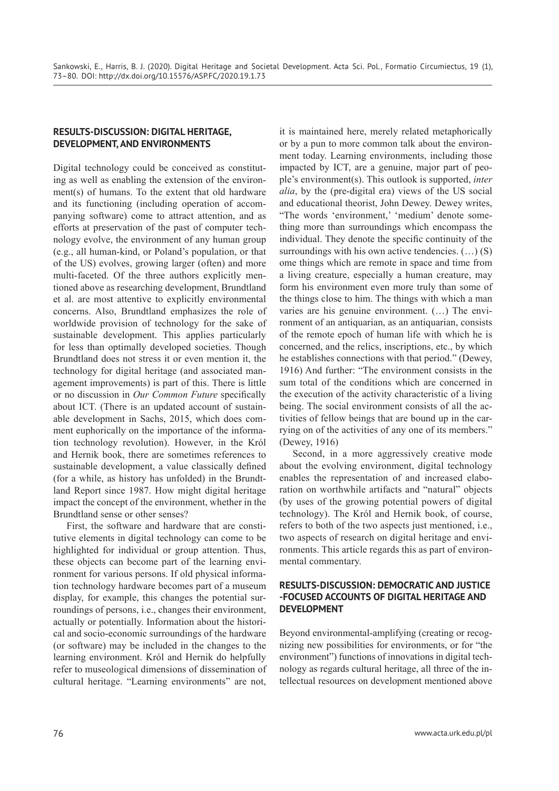# **RESULTS-DISCUSSION: DIGITAL HERITAGE, DEVELOPMENT, AND ENVIRONMENTS**

Digital technology could be conceived as constituting as well as enabling the extension of the environment(s) of humans. To the extent that old hardware and its functioning (including operation of accompanying software) come to attract attention, and as efforts at preservation of the past of computer technology evolve, the environment of any human group (e.g., all human-kind, or Poland's population, or that of the US) evolves, growing larger (often) and more multi-faceted. Of the three authors explicitly mentioned above as researching development, Brundtland et al. are most attentive to explicitly environmental concerns. Also, Brundtland emphasizes the role of worldwide provision of technology for the sake of sustainable development. This applies particularly for less than optimally developed societies. Though Brundtland does not stress it or even mention it, the technology for digital heritage (and associated management improvements) is part of this. There is little or no discussion in *Our Common Future* specifically about ICT. (There is an updated account of sustainable development in Sachs, 2015, which does comment euphorically on the importance of the information technology revolution). However, in the Król and Hernik book, there are sometimes references to sustainable development, a value classically defined (for a while, as history has unfolded) in the Brundtland Report since 1987. How might digital heritage impact the concept of the environment, whether in the Brundtland sense or other senses?

First, the software and hardware that are constitutive elements in digital technology can come to be highlighted for individual or group attention. Thus, these objects can become part of the learning environment for various persons. If old physical information technology hardware becomes part of a museum display, for example, this changes the potential surroundings of persons, i.e., changes their environment, actually or potentially. Information about the historical and socio-economic surroundings of the hardware (or software) may be included in the changes to the learning environment. Król and Hernik do helpfully refer to museological dimensions of dissemination of cultural heritage. "Learning environments" are not,

it is maintained here, merely related metaphorically or by a pun to more common talk about the environment today. Learning environments, including those impacted by ICT, are a genuine, major part of people's environment(s). This outlook is supported, *inter alia*, by the (pre-digital era) views of the US social and educational theorist, John Dewey. Dewey writes, "The words 'environment,' 'medium' denote something more than surroundings which encompass the individual. They denote the specific continuity of the surroundings with his own active tendencies.  $(...)$  (S) ome things which are remote in space and time from a living creature, especially a human creature, may form his environment even more truly than some of the things close to him. The things with which a man varies are his genuine environment. (…) The environment of an antiquarian, as an antiquarian, consists of the remote epoch of human life with which he is concerned, and the relics, inscriptions, etc., by which he establishes connections with that period." (Dewey, 1916) And further: "The environment consists in the sum total of the conditions which are concerned in the execution of the activity characteristic of a living being. The social environment consists of all the activities of fellow beings that are bound up in the carrying on of the activities of any one of its members." (Dewey, 1916)

Second, in a more aggressively creative mode about the evolving environment, digital technology enables the representation of and increased elaboration on worthwhile artifacts and "natural" objects (by uses of the growing potential powers of digital technology). The Król and Hernik book, of course, refers to both of the two aspects just mentioned, i.e., two aspects of research on digital heritage and environments. This article regards this as part of environmental commentary.

# **RESULTS-DISCUSSION: DEMOCRATIC AND JUSTICE -FOCUSED ACCOUNTS OF DIGITAL HERITAGE AND DEVELOPMENT**

Beyond environmental-amplifying (creating or recognizing new possibilities for environments, or for "the environment") functions of innovations in digital technology as regards cultural heritage, all three of the intellectual resources on development mentioned above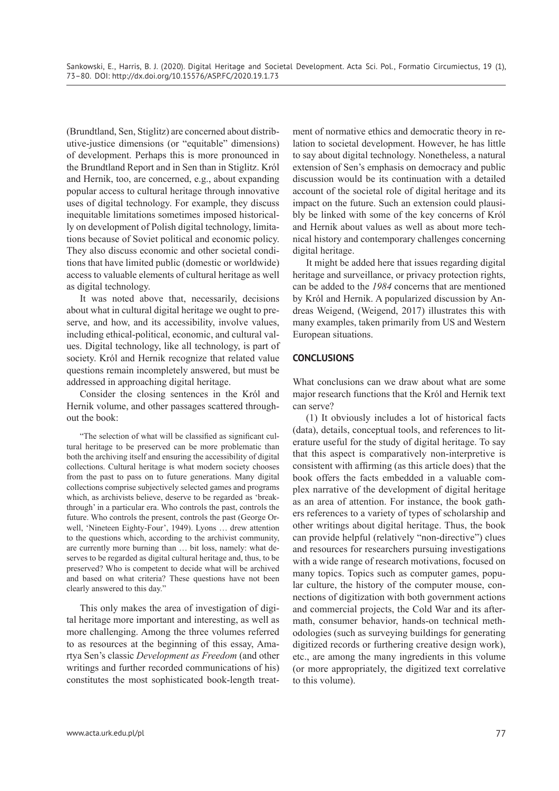(Brundtland, Sen, Stiglitz) are concerned about distributive-justice dimensions (or "equitable" dimensions) of development. Perhaps this is more pronounced in the Brundtland Report and in Sen than in Stiglitz. Król and Hernik, too, are concerned, e.g., about expanding popular access to cultural heritage through innovative uses of digital technology. For example, they discuss inequitable limitations sometimes imposed historically on development of Polish digital technology, limitations because of Soviet political and economic policy. They also discuss economic and other societal conditions that have limited public (domestic or worldwide) access to valuable elements of cultural heritage as well as digital technology.

It was noted above that, necessarily, decisions about what in cultural digital heritage we ought to preserve, and how, and its accessibility, involve values, including ethical-political, economic, and cultural values. Digital technology, like all technology, is part of society. Król and Hernik recognize that related value questions remain incompletely answered, but must be addressed in approaching digital heritage.

Consider the closing sentences in the Król and Hernik volume, and other passages scattered throughout the book:

"The selection of what will be classified as significant cultural heritage to be preserved can be more problematic than both the archiving itself and ensuring the accessibility of digital collections. Cultural heritage is what modern society chooses from the past to pass on to future generations. Many digital collections comprise subjectively selected games and programs which, as archivists believe, deserve to be regarded as 'breakthrough' in a particular era. Who controls the past, controls the future. Who controls the present, controls the past (George Orwell, 'Nineteen Eighty-Four', 1949). Lyons … drew attention to the questions which, according to the archivist community, are currently more burning than … bit loss, namely: what deserves to be regarded as digital cultural heritage and, thus, to be preserved? Who is competent to decide what will be archived and based on what criteria? These questions have not been clearly answered to this day."

This only makes the area of investigation of digital heritage more important and interesting, as well as more challenging. Among the three volumes referred to as resources at the beginning of this essay, Amartya Sen's classic *Development as Freedom* (and other writings and further recorded communications of his) constitutes the most sophisticated book-length treatment of normative ethics and democratic theory in relation to societal development. However, he has little to say about digital technology. Nonetheless, a natural extension of Sen's emphasis on democracy and public discussion would be its continuation with a detailed account of the societal role of digital heritage and its impact on the future. Such an extension could plausibly be linked with some of the key concerns of Król and Hernik about values as well as about more technical history and contemporary challenges concerning digital heritage.

It might be added here that issues regarding digital heritage and surveillance, or privacy protection rights, can be added to the *1984* concerns that are mentioned by Król and Hernik. A popularized discussion by Andreas Weigend, (Weigend, 2017) illustrates this with many examples, taken primarily from US and Western European situations.

# **CONCLUSIONS**

What conclusions can we draw about what are some major research functions that the Król and Hernik text can serve?

(1) It obviously includes a lot of historical facts (data), details, conceptual tools, and references to literature useful for the study of digital heritage. To say that this aspect is comparatively non-interpretive is consistent with affirming (as this article does) that the book offers the facts embedded in a valuable complex narrative of the development of digital heritage as an area of attention. For instance, the book gathers references to a variety of types of scholarship and other writings about digital heritage. Thus, the book can provide helpful (relatively "non-directive") clues and resources for researchers pursuing investigations with a wide range of research motivations, focused on many topics. Topics such as computer games, popular culture, the history of the computer mouse, connections of digitization with both government actions and commercial projects, the Cold War and its aftermath, consumer behavior, hands-on technical methodologies (such as surveying buildings for generating digitized records or furthering creative design work), etc., are among the many ingredients in this volume (or more appropriately, the digitized text correlative to this volume).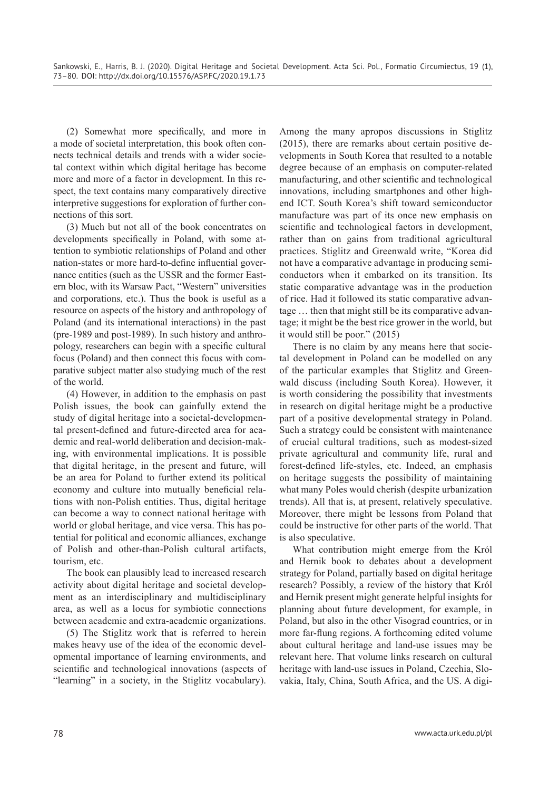(2) Somewhat more specifically, and more in a mode of societal interpretation, this book often connects technical details and trends with a wider societal context within which digital heritage has become more and more of a factor in development. In this respect, the text contains many comparatively directive interpretive suggestions for exploration of further connections of this sort.

(3) Much but not all of the book concentrates on developments specifically in Poland, with some attention to symbiotic relationships of Poland and other nation-states or more hard-to-define influential governance entities (such as the USSR and the former Eastern bloc, with its Warsaw Pact, "Western" universities and corporations, etc.). Thus the book is useful as a resource on aspects of the history and anthropology of Poland (and its international interactions) in the past (pre-1989 and post-1989). In such history and anthropology, researchers can begin with a specific cultural focus (Poland) and then connect this focus with comparative subject matter also studying much of the rest of the world.

(4) However, in addition to the emphasis on past Polish issues, the book can gainfully extend the study of digital heritage into a societal-developmental present-defined and future-directed area for academic and real-world deliberation and decision-making, with environmental implications. It is possible that digital heritage, in the present and future, will be an area for Poland to further extend its political economy and culture into mutually beneficial relations with non-Polish entities. Thus, digital heritage can become a way to connect national heritage with world or global heritage, and vice versa. This has potential for political and economic alliances, exchange of Polish and other-than-Polish cultural artifacts, tourism, etc.

The book can plausibly lead to increased research activity about digital heritage and societal development as an interdisciplinary and multidisciplinary area, as well as a locus for symbiotic connections between academic and extra-academic organizations.

(5) The Stiglitz work that is referred to herein makes heavy use of the idea of the economic developmental importance of learning environments, and scientific and technological innovations (aspects of "learning" in a society, in the Stiglitz vocabulary).

Among the many apropos discussions in Stiglitz (2015), there are remarks about certain positive developments in South Korea that resulted to a notable degree because of an emphasis on computer-related manufacturing, and other scientific and technological innovations, including smartphones and other highend ICT. South Korea's shift toward semiconductor manufacture was part of its once new emphasis on scientific and technological factors in development, rather than on gains from traditional agricultural practices. Stiglitz and Greenwald write, "Korea did not have a comparative advantage in producing semiconductors when it embarked on its transition. Its static comparative advantage was in the production of rice. Had it followed its static comparative advantage … then that might still be its comparative advantage; it might be the best rice grower in the world, but it would still be poor." (2015)

There is no claim by any means here that societal development in Poland can be modelled on any of the particular examples that Stiglitz and Greenwald discuss (including South Korea). However, it is worth considering the possibility that investments in research on digital heritage might be a productive part of a positive developmental strategy in Poland. Such a strategy could be consistent with maintenance of crucial cultural traditions, such as modest-sized private agricultural and community life, rural and forest-defined life-styles, etc. Indeed, an emphasis on heritage suggests the possibility of maintaining what many Poles would cherish (despite urbanization trends). All that is, at present, relatively speculative. Moreover, there might be lessons from Poland that could be instructive for other parts of the world. That is also speculative.

What contribution might emerge from the Król and Hernik book to debates about a development strategy for Poland, partially based on digital heritage research? Possibly, a review of the history that Król and Hernik present might generate helpful insights for planning about future development, for example, in Poland, but also in the other Visograd countries, or in more far-flung regions. A forthcoming edited volume about cultural heritage and land-use issues may be relevant here. That volume links research on cultural heritage with land-use issues in Poland, Czechia, Slovakia, Italy, China, South Africa, and the US. A digi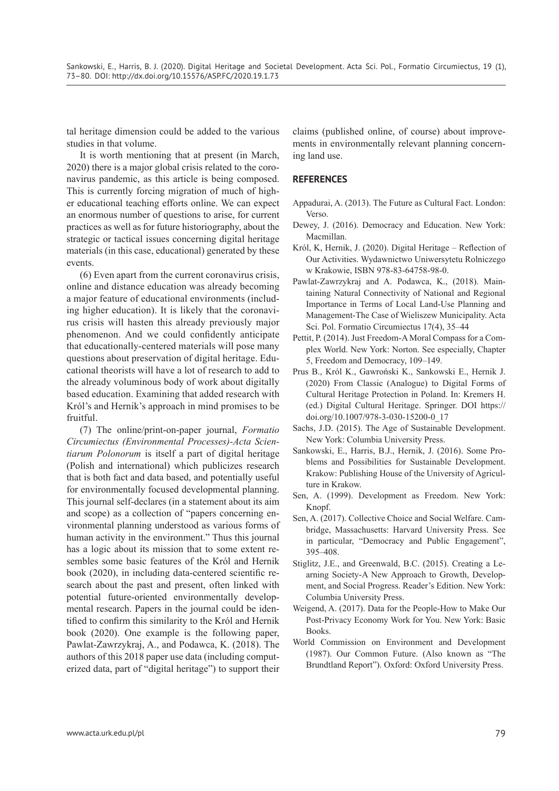tal heritage dimension could be added to the various studies in that volume.

It is worth mentioning that at present (in March, 2020) there is a major global crisis related to the coronavirus pandemic, as this article is being composed. This is currently forcing migration of much of higher educational teaching efforts online. We can expect an enormous number of questions to arise, for current practices as well as for future historiography, about the strategic or tactical issues concerning digital heritage materials (in this case, educational) generated by these events.

(6) Even apart from the current coronavirus crisis, online and distance education was already becoming a major feature of educational environments (including higher education). It is likely that the coronavirus crisis will hasten this already previously major phenomenon. And we could confidently anticipate that educationally-centered materials will pose many questions about preservation of digital heritage. Educational theorists will have a lot of research to add to the already voluminous body of work about digitally based education. Examining that added research with Król's and Hernik's approach in mind promises to be fruitful.

(7) The online/print-on-paper journal, *Formatio Circumiectus (Environmental Processes)-Acta Scientiarum Polonorum* is itself a part of digital heritage (Polish and international) which publicizes research that is both fact and data based, and potentially useful for environmentally focused developmental planning. This journal self-declares (in a statement about its aim and scope) as a collection of "papers concerning environmental planning understood as various forms of human activity in the environment." Thus this journal has a logic about its mission that to some extent resembles some basic features of the Król and Hernik book (2020), in including data-centered scientific research about the past and present, often linked with potential future-oriented environmentally developmental research. Papers in the journal could be identified to confirm this similarity to the Król and Hernik book (2020). One example is the following paper, Pawlat-Zawrzykraj, A., and Podawca, K. (2018). The authors of this 2018 paper use data (including computerized data, part of "digital heritage") to support their

claims (published online, of course) about improvements in environmentally relevant planning concerning land use.

## **REFERENCES**

- Appadurai, A. (2013). The Future as Cultural Fact. London: Verso.
- Dewey, J. (2016). Democracy and Education. New York: Macmillan.
- Król, K, Hernik, J. (2020). Digital Heritage Reflection of Our Activities. Wydawnictwo Uniwersytetu Rolniczego w Krakowie, ISBN 978-83-64758-98-0.
- Pawlat-Zawrzykraj and A. Podawca, K., (2018). Maintaining Natural Connectivity of National and Regional Importance in Terms of Local Land-Use Planning and Management-The Case of Wieliszew Municipality. Acta Sci. Pol. Formatio Circumiectus 17(4), 35–44
- Pettit, P. (2014). Just Freedom-A Moral Compass for a Complex World. New York: Norton. See especially, Chapter 5, Freedom and Democracy, 109–149.
- Prus B., Król K., Gawroński K., Sankowski E., Hernik J. (2020) From Classic (Analogue) to Digital Forms of Cultural Heritage Protection in Poland. In: Kremers H. (ed.) Digital Cultural Heritage. Springer. DOI https:// doi.org/10.1007/978-3-030-15200-0\_17
- Sachs, J.D. (2015). The Age of Sustainable Development. New York: Columbia University Press.
- Sankowski, E., Harris, B.J., Hernik, J. (2016). Some Problems and Possibilities for Sustainable Development. Krakow: Publishing House of the University of Agriculture in Krakow.
- Sen, A. (1999). Development as Freedom. New York: Knopf.
- Sen, A. (2017). Collective Choice and Social Welfare. Cambridge, Massachusetts: Harvard University Press. See in particular, "Democracy and Public Engagement", 395–408.
- Stiglitz, J.E., and Greenwald, B.C. (2015). Creating a Learning Society-A New Approach to Growth, Development, and Social Progress. Reader's Edition. New York: Columbia University Press.
- Weigend, A. (2017). Data for the People-How to Make Our Post-Privacy Economy Work for You. New York: Basic Books.
- World Commission on Environment and Development (1987). Our Common Future. (Also known as "The Brundtland Report"). Oxford: Oxford University Press.